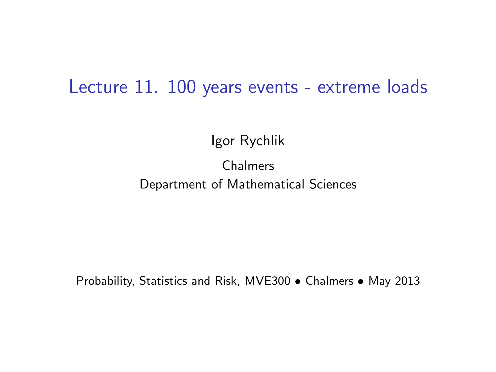#### Lecture 11. 100 years events - extreme loads

Igor Rychlik

#### Chalmers Department of Mathematical Sciences

Probability, Statistics and Risk, MVE300 • Chalmers • May 2013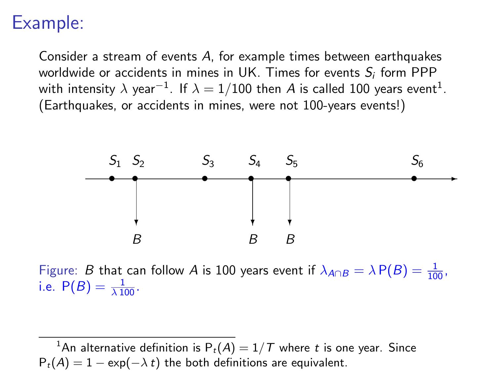## Example:

Consider a stream of events A, for example times between earthquakes worldwide or accidents in mines in UK. Times for events  $S_i$  form PPP with intensity  $\lambda$  year $^{-1}$ . If  $\lambda=1/100$  then  $A$  is called 100 years event $^1$ . (Earthquakes, or accidents in mines, were not 100-years events!)



Figure: B that can follow A is 100 years event if  $\lambda_{A \cap B} = \lambda P(B) = \frac{1}{100}$ , i.e.  $P(B) = \frac{1}{\lambda 100}$ .

<sup>1</sup>An alternative definition is  $P_t(A) = 1/T$  where t is one year. Since  $P_t(A) = 1 - \exp(-\lambda t)$  the both definitions are equivalent.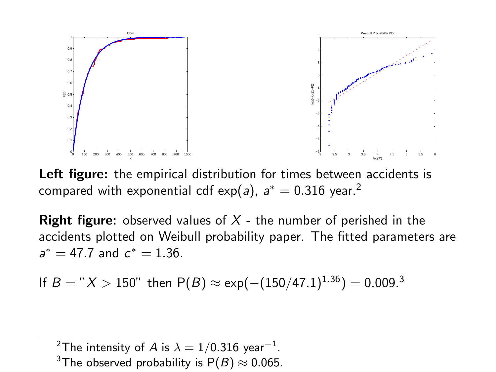

Left figure: the empirical distribution for times between accidents is compared with exponential cdf exp(*a*),  $a^*=0.316$  year. $^2$ 

**Right figure:** observed values of  $X$  - the number of perished in the accidents plotted on Weibull probability paper. The fitted parameters are  $a^* = 47.7$  and  $c^* = 1.36$ .

If 
$$
B = "X > 150"
$$
 then  $P(B) \approx \exp(-(150/47.1)^{1.36}) = 0.009.^3$ 

 $^2$ The intensity of  $A$  is  $\lambda=1/0.316$  year $^{-1}.$ 

<sup>3</sup>The observed probability is  $P(B) \approx 0.065$ .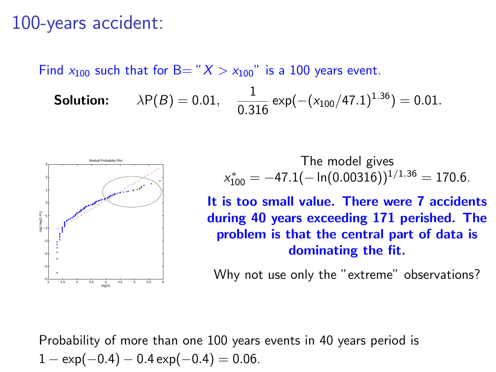#### 100-years accident:

Find  $x_{100}$  such that for B= " $X > x_{100}$ " is a 100 years event.

**Solution:** 
$$
\lambda P(B) = 0.01
$$
,  $\frac{1}{0.316} \exp(-(x_{100}/47.1)^{1.36}) = 0.01$ .



The model gives  $x_{100}^* = -47.1(-\ln(0.00316))^{1/1.36} = 170.6.$ 

It is too small value. There were 7 accidents during 40 years exceeding 171 perished. The problem is that the central part of data is dominating the fit.

Why not use only the "extreme" observations?

Probability of more than one 100 years events in 40 years period is  $1 - \exp(-0.4) - 0.4 \exp(-0.4) = 0.06$ .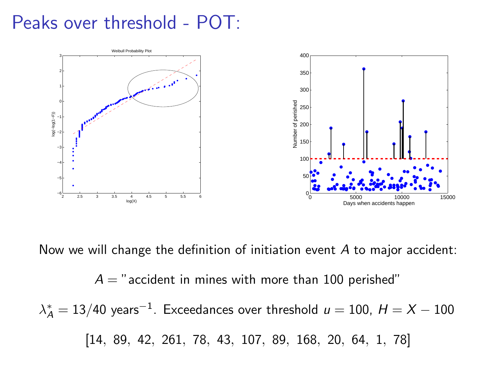### Peaks over threshold - POT:



Now we will change the definition of initiation event A to major accident:

 $A =$ " accident in mines with more than 100 perished"  $\lambda_{\mathcal{A}}^*=13/40$  years $^{-1}$ . Exceedances over threshold  $\mu=100$ ,  $H=X-100$ [14, 89, 42, 261, 78, 43, 107, 89, 168, 20, 64, 1, 78]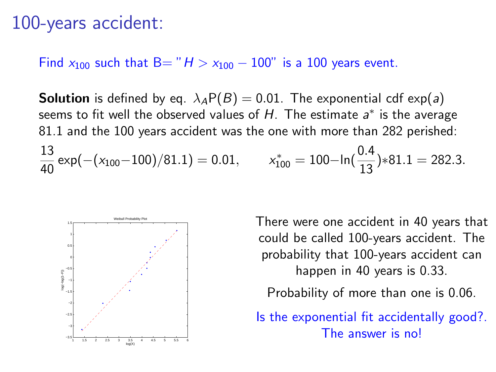#### 100-years accident:

Find  $x_{100}$  such that B= " $H > x_{100} - 100$ " is a 100 years event.

**Solution** is defined by eq.  $\lambda_A P(B) = 0.01$ . The exponential cdf exp(a) seems to fit well the observed values of  $H$ . The estimate  $a^*$  is the average 81.1 and the 100 years accident was the one with more than 282 perished: 13  $\frac{13}{40}$  exp(-(x<sub>100</sub>-100)/81.1) = 0.01,  $x_{100}^{*} = 100 - \ln(\frac{0.4}{13}) * 81.1 = 282.3.$ 



There were one accident in 40 years that could be called 100-years accident. The probability that 100-years accident can happen in 40 years is 0.33.

Probability of more than one is 0.06.

Is the exponential fit accidentally good?. The answer is no!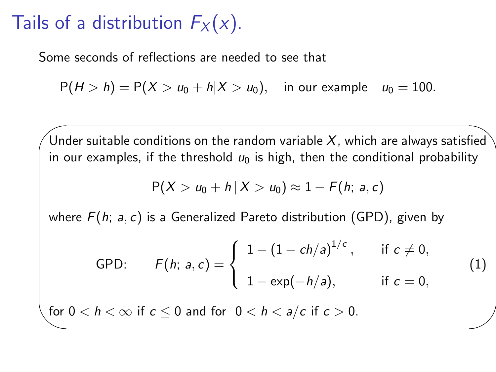# Tails of a distribution  $F_X(x)$ .

 $\sim$ 

✫

Some seconds of reflections are needed to see that

 $P(H > h) = P(X > u_0 + h|X > u_0)$ , in our example  $u_0 = 100$ .

Under suitable conditions on the random variable X, which are always satisfied in our examples, if the threshold  $u_0$  is high, then the conditional probability

$$
P(X > u_0 + h | X > u_0) \approx 1 - F(h; a, c)
$$

where  $F(h; a, c)$  is a Generalized Pareto distribution (GPD), given by

GPD: 
$$
F(h; a, c) = \begin{cases} 1 - (1 - ch/a)^{1/c}, & \text{if } c \neq 0, \\ 1 - \exp(-h/a), & \text{if } c = 0, \end{cases}
$$
 (1)

for  $0 < h < \infty$  if  $c \le 0$  and for  $0 < h < a/c$  if  $c > 0$ .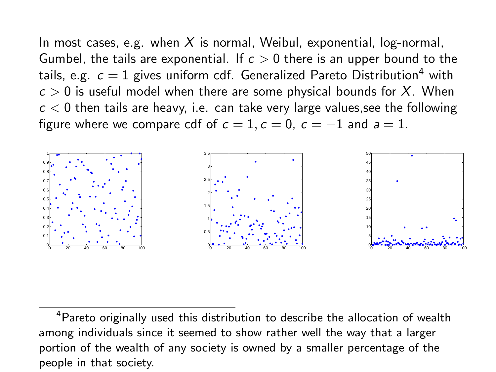In most cases, e.g. when  $X$  is normal, Weibul, exponential, log-normal, Gumbel, the tails are exponential. If  $c > 0$  there is an upper bound to the tails, e.g.  $c = 1$  gives uniform cdf. Generalized Pareto Distribution<sup>4</sup> with  $c > 0$  is useful model when there are some physical bounds for X. When  $c < 0$  then tails are heavy, i.e. can take very large values, see the following figure where we compare cdf of  $c = 1$ ,  $c = 0$ ,  $c = -1$  and  $a = 1$ .



<sup>&</sup>lt;sup>4</sup>Pareto originally used this distribution to describe the allocation of wealth among individuals since it seemed to show rather well the way that a larger portion of the wealth of any society is owned by a smaller percentage of the people in that society.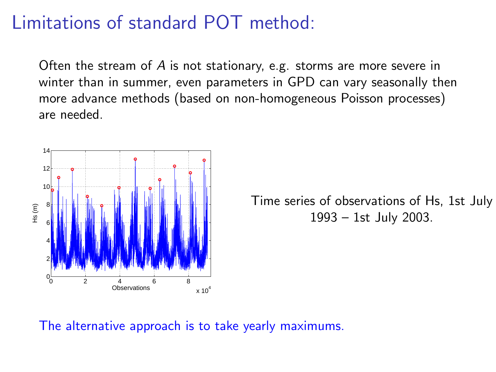# Limitations of standard POT method:

Often the stream of A is not stationary, e.g. storms are more severe in winter than in summer, even parameters in GPD can vary seasonally then more advance methods (based on non-homogeneous Poisson processes) are needed.



Time series of observations of Hs, 1st July 1993 – 1st July 2003.

The alternative approach is to take yearly maximums.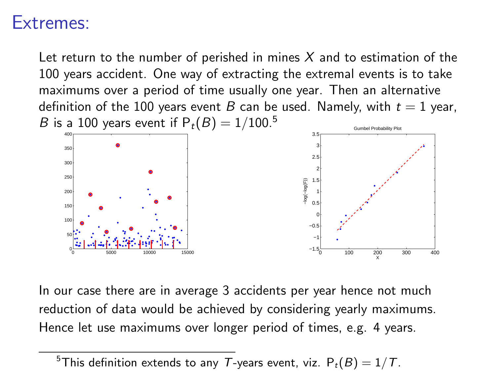#### Extremes:

Let return to the number of perished in mines  $X$  and to estimation of the 100 years accident. One way of extracting the extremal events is to take maximums over a period of time usually one year. Then an alternative definition of the 100 years event B can be used. Namely, with  $t = 1$  year, *B* is a 100 years event if  $P_t(B) = 1/100^{5}$ Gumbel Probability Plot



In our case there are in average 3 accidents per year hence not much reduction of data would be achieved by considering yearly maximums. Hence let use maximums over longer period of times, e.g. 4 years.

<sup>&</sup>lt;sup>5</sup>This definition extends to any T-years event, viz.  $P_t(B) = 1/T$ .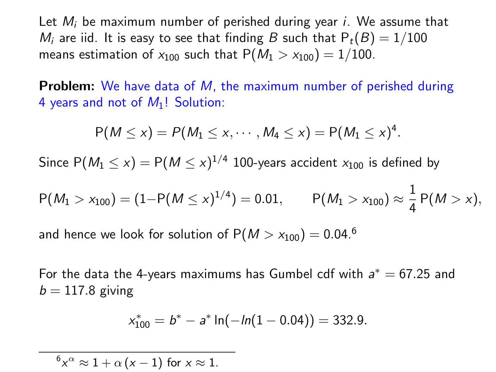Let  $M_i$  be maximum number of perished during year i. We assume that  $M_i$  are iid. It is easy to see that finding B such that  $P_t(B) = 1/100$ means estimation of  $x_{100}$  such that  $P(M_1 > x_{100}) = 1/100$ .

**Problem:** We have data of M, the maximum number of perished during 4 years and not of  $M_1!$ ! Solution:

$$
P(M \le x) = P(M_1 \le x, \cdots, M_4 \le x) = P(M_1 \le x)^4.
$$

Since  $\mathsf{P}(\mathsf{M}_1 \leq x) = \mathsf{P}(\mathsf{M} \leq x)^{1/4}$  100-years accident  $x_{100}$  is defined by

$$
P(M_1 > x_{100}) = (1 - P(M \le x)^{1/4}) = 0.01, \qquad P(M_1 > x_{100}) \approx \frac{1}{4} P(M > x),
$$

and hence we look for solution of  $P(M > x_{100}) = 0.04$ .<sup>6</sup>

For the data the 4-years maximums has Gumbel cdf with  $a^* = 67.25$  and  $b = 117.8$  giving

$$
x_{100}^* = b^* - a^* \ln(-\ln(1 - 0.04)) = 332.9.
$$

 ${}^6x^{\alpha} \approx 1 + \alpha (x - 1)$  for  $x \approx 1$ .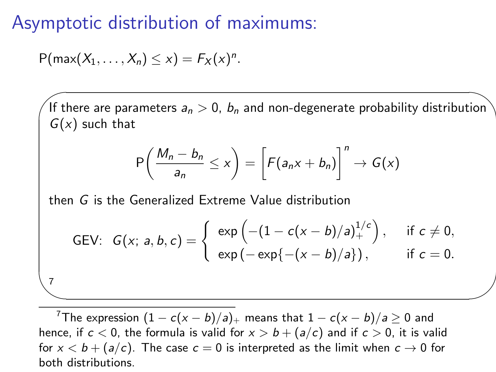### Asymptotic distribution of maximums:

$$
P(max(X_1,\ldots,X_n)\leq x)=F_X(x)^n.
$$

 $\sim$ 

 $\sim$ 

7

If there are parameters  $a_n > 0$ ,  $b_n$  and non-degenerate probability distribution  $G(x)$  such that

$$
\mathsf{P}\left(\frac{M_n-b_n}{a_n}\leq x\right)=\left[\mathsf{F}(a_nx+b_n)\right]^n\to\mathsf{G}(x)
$$

then G is the Generalized Extreme Value distribution

GEV: 
$$
G(x; a, b, c) = \begin{cases} exp(-(1 - c(x - b)/a)^{1/c}) , & \text{if } c \neq 0, \\ exp(-exp{-(x - b)/a}) , & \text{if } c = 0. \end{cases}
$$

<sup>7</sup>The expression  $(1 - c(x - b)/a)_{+}$  means that  $1 - c(x - b)/a \ge 0$  and hence, if  $c < 0$ , the formula is valid for  $x > b + (a/c)$  and if  $c > 0$ , it is valid for  $x < b + (a/c)$ . The case  $c = 0$  is interpreted as the limit when  $c \rightarrow 0$  for both distributions.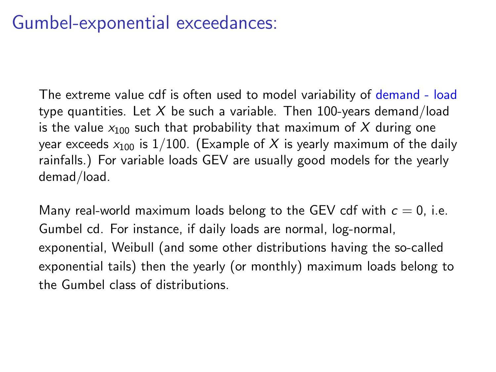# Gumbel-exponential exceedances:

The extreme value cdf is often used to model variability of demand - load type quantities. Let X be such a variable. Then 100-years demand/load is the value  $x_{100}$  such that probability that maximum of  $X$  during one year exceeds  $x_{100}$  is 1/100. (Example of X is yearly maximum of the daily rainfalls.) For variable loads GEV are usually good models for the yearly demad/load.

Many real-world maximum loads belong to the GEV cdf with  $c = 0$ , i.e. Gumbel cd. For instance, if daily loads are normal, log-normal, exponential, Weibull (and some other distributions having the so-called exponential tails) then the yearly (or monthly) maximum loads belong to the Gumbel class of distributions.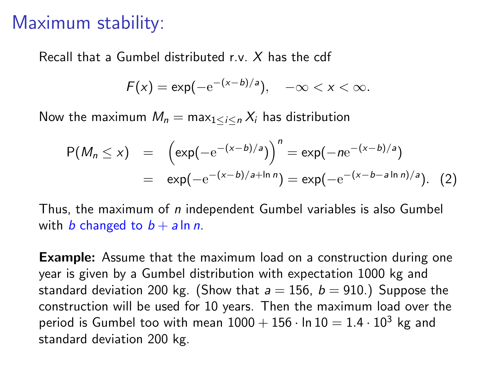### Maximum stability:

Recall that a Gumbel distributed r.v. X has the cdf

$$
F(x) = \exp(-e^{-(x-b)/a}), \quad -\infty < x < \infty.
$$

Now the maximum  $M_n = \max_{1 \le i \le n} X_i$  has distribution

$$
P(M_n \le x) = \left(\exp(-e^{-(x-b)/a})\right)^n = \exp(-ne^{-(x-b)/a})
$$
  
=  $\exp(-e^{-(x-b)/a + \ln n}) = \exp(-e^{-(x-b-a\ln n)/a}).$  (2)

Thus, the maximum of  $n$  independent Gumbel variables is also Gumbel with b changed to  $b + a \ln n$ .

**Example:** Assume that the maximum load on a construction during one year is given by a Gumbel distribution with expectation 1000 kg and standard deviation 200 kg. (Show that  $a = 156$ ,  $b = 910$ .) Suppose the construction will be used for 10 years. Then the maximum load over the period is Gumbel too with mean  $1000 + 156 \cdot \ln 10 = 1.4 \cdot 10^3$  kg and standard deviation 200 kg.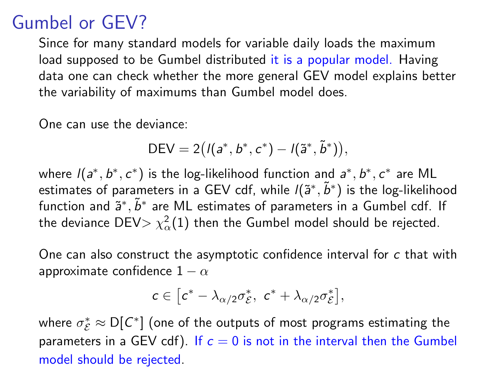# Gumbel or GEV?

Since for many standard models for variable daily loads the maximum load supposed to be Gumbel distributed it is a popular model. Having data one can check whether the more general GEV model explains better the variability of maximums than Gumbel model does.

One can use the deviance:

$$
DEV = 2((a^*, b^*, c^*) - I(\tilde{a}^*, \tilde{b}^*)),
$$

where  $I(a^*,b^*,c^*)$  is the log-likelihood function and  $a^*,b^*,c^*$  are ML estimates of parameters in a GEV cdf, while  $I(\tilde{\bm{a}}^*,\tilde{\bm{b}}^*)$  is the log-likelihood function and  $\tilde{\mathsf{a}}^*, \tilde{b}^*$  are ML estimates of parameters in a Gumbel cdf. If the deviance DEV $> \chi^2_{\alpha}(1)$  then the Gumbel model should be rejected.

One can also construct the asymptotic confidence interval for c that with approximate confidence  $1 - \alpha$ 

$$
c\in\big[c^*-\lambda_{\alpha/2}\sigma_{\mathcal{E}}^*,\ c^*+\lambda_{\alpha/2}\sigma_{\mathcal{E}}^*\big],
$$

where  $\sigma_{\mathcal{E}}^* \approx \mathsf{D}[\mathcal{C}^*]$  (one of the outputs of most programs estimating the parameters in a GEV cdf). If  $c = 0$  is not in the interval then the Gumbel model should be rejected.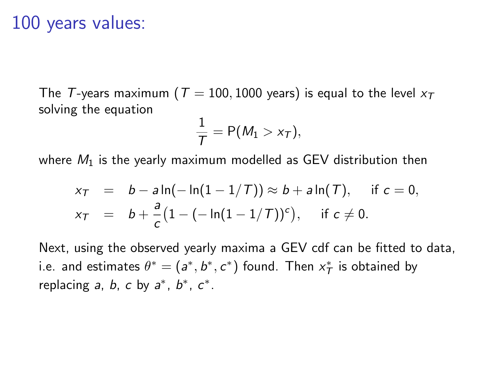#### 100 years values:

The T-years maximum ( $T = 100, 1000$  years) is equal to the level  $x_T$ solving the equation

$$
\frac{1}{T} = P(M_1 > x_T),
$$

where  $M_1$  is the yearly maximum modelled as GEV distribution then

$$
x_T = b - a \ln(-\ln(1 - 1/T)) \approx b + a \ln(T), \quad \text{if } c = 0, x_T = b + \frac{a}{c} (1 - (-\ln(1 - 1/T))^c), \quad \text{if } c \neq 0.
$$

Next, using the observed yearly maxima a GEV cdf can be fitted to data, i.e. and estimates  $\theta^* = (a^*, b^*, c^*)$  found. Then  $x^*$  is obtained by replacing  $a, b, c$  by  $a^*, b^*, c^*$ .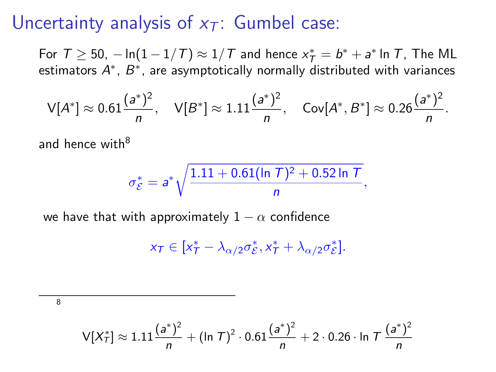### Uncertainty analysis of  $x_T$ : Gumbel case:

For  $T \ge 50$ ,  $-\ln(1-1/T) \approx 1/T$  and hence  $x^*_{\mathcal{T}} = b^* + a^*$  In  $T$ , The ML estimators  $A^{\ast}$ ,  $B^{\ast}$ , are asymptotically normally distributed with variances

$$
\mathsf{V}[A^*] \approx 0.61 \frac{(a^*)^2}{n}, \quad \mathsf{V}[B^*] \approx 1.11 \frac{(a^*)^2}{n}, \quad \mathsf{Cov}[A^*, B^*] \approx 0.26 \frac{(a^*)^2}{n}.
$$

and hence with<sup>8</sup>

$$
\sigma_{\mathcal{E}}^* = a^* \sqrt{\frac{1.11 + 0.61(\ln T)^2 + 0.52 \ln T}{n}},
$$

we have that with approximately  $1 - \alpha$  confidence

$$
x_{\mathcal{T}} \in [x_{\mathcal{T}}^* - \lambda_{\alpha/2} \sigma_{\mathcal{E}}^*, x_{\mathcal{T}}^* + \lambda_{\alpha/2} \sigma_{\mathcal{E}}^*].
$$

8

$$
V[X_T^*] \approx 1.11 \frac{(a^*)^2}{n} + (\ln T)^2 \cdot 0.61 \frac{(a^*)^2}{n} + 2 \cdot 0.26 \cdot \ln T \frac{(a^*)^2}{n}
$$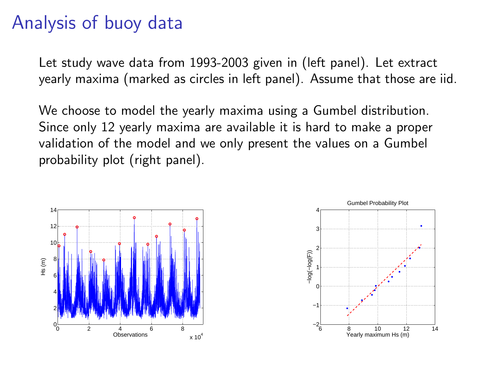# Analysis of buoy data

Let study wave data from 1993-2003 given in (left panel). Let extract yearly maxima (marked as circles in left panel). Assume that those are iid.

We choose to model the yearly maxima using a Gumbel distribution. Since only 12 yearly maxima are available it is hard to make a proper validation of the model and we only present the values on a Gumbel probability plot (right panel).



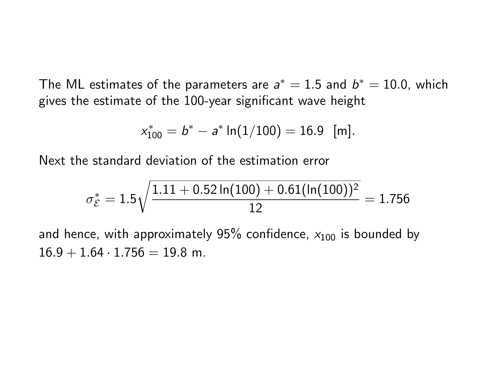The ML estimates of the parameters are  $a^* = 1.5$  and  $b^* = 10.0$ , which gives the estimate of the 100-year significant wave height

$$
x_{100}^* = b^* - a^* \ln(1/100) = 16.9 \text{ [m]}.
$$

Next the standard deviation of the estimation error

$$
\sigma_{\mathcal{E}}^* = 1.5\sqrt{\frac{1.11 + 0.52 \ln(100) + 0.61(\ln(100))^2}{12}} = 1.756
$$

and hence, with approximately 95% confidence,  $x_{100}$  is bounded by  $16.9 + 1.64 \cdot 1.756 = 19.8$  m.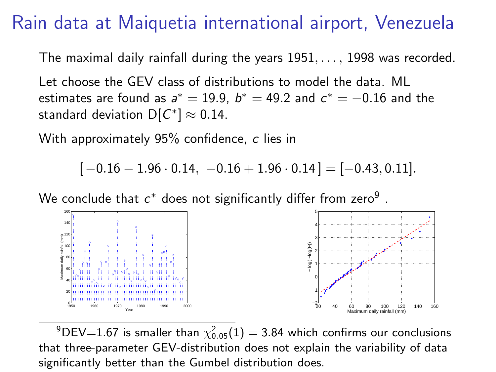### Rain data at Maiquetia international airport, Venezuela

The maximal daily rainfall during the years  $1951, \ldots$ , 1998 was recorded.

Let choose the GEV class of distributions to model the data. ML estimates are found as  $a^* = 19.9$ ,  $b^* = 49.2$  and  $c^* = -0.16$  and the standard deviation  $\mathsf{D}[\mathcal{C}^*]\approx 0.14.$ 

With approximately 95% confidence, c lies in

 $[-0.16 - 1.96 \cdot 0.14, -0.16 + 1.96 \cdot 0.14] = [-0.43, 0.11].$ 

We conclude that  $c^\ast$  does not significantly differ from zero $^9$  .



 $^{9}$ DEV=1.67 is smaller than  $\chi^{2}_{0.05}(1)=$  3.84 which confirms our conclusions that three-parameter GEV-distribution does not explain the variability of data significantly better than the Gumbel distribution does.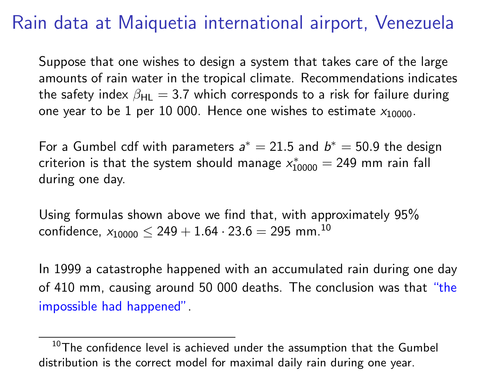# Rain data at Maiquetia international airport, Venezuela

Suppose that one wishes to design a system that takes care of the large amounts of rain water in the tropical climate. Recommendations indicates the safety index  $\beta_{\text{HI}} = 3.7$  which corresponds to a risk for failure during one year to be 1 per 10 000. Hence one wishes to estimate  $x_{10000}$ .

For a Gumbel cdf with parameters  $a^* = 21.5$  and  $b^* = 50.9$  the design criterion is that the system should manage  $x_{10000}^* = 249$  mm rain fall during one day.

Using formulas shown above we find that, with approximately 95% confidence,  $x_{10000}$  < 249 + 1.64 · 23.6 = 295 mm.<sup>10</sup>

In 1999 a catastrophe happened with an accumulated rain during one day of 410 mm, causing around 50 000 deaths. The conclusion was that "the impossible had happened".

 $10$ The confidence level is achieved under the assumption that the Gumbel distribution is the correct model for maximal daily rain during one year.